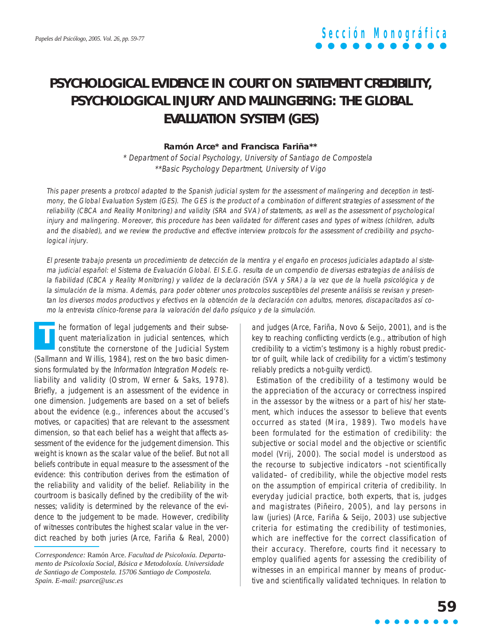### **PSYCHOLOGICAL EVIDENCE IN COURT ON STATEMENT CREDIBILITY, PSYCHOLOGICAL INJURY AND MALINGERING: THE GLOBAL EVALUATION SYSTEM (GES)**

#### **Ramón Arce\* and Francisca Fariña\*\***

\* Department of Social Psychology, University of Santiago de Compostela \*\*Basic Psychology Department, University of Vigo

This paper presents a protocol adapted to the Spanish judicial system for the assessment of malingering and deception in testimony, the Global Evaluation System (GES). The GES is the product of a combination of different strategies of assessment of the reliability (CBCA and Reality Monitoring) and validity (SRA and SVA) of statements, as well as the assessment of psychological injury and malingering. Moreover, this procedure has been validated for different cases and types of witness (children, adults and the disabled), and we review the productive and effective interview protocols for the assessment of credibility and psychological injury.

El presente trabajo presenta un procedimiento de detección de la mentira y el engaño en procesos judiciales adaptado al sistema judicial español: el Sistema de Evaluación Global. El S.E.G. resulta de un compendio de diversas estrategias de análisis de la fiabilidad (CBCA y Reality Monitoring) y validez de la declaración (SVA y SRA) a la vez que de la huella psicológica y de la simulación de la misma. Además, para poder obtener unos protocolos susceptibles del presente análisis se revisan y presentan los diversos modos productivos y efectivos en la obtención de la declaración con adultos, menores, discapacitados así como la entrevista clínico-forense para la valoración del daño psíquico y de la simulación.

he formation of legal judgements and their subsequent materialization in judicial sentences, which constitute the cornerstone of the Judicial System (Sallmann and Willis, 1984), rest on the two basic dimensions formulated by the Information Integration Models: reliability and validity (Ostrom, Werner & Saks, 1978). Briefly, a judgement is an assessment of the evidence in one dimension. Judgements are based on a set of beliefs about the evidence (e.g., inferences about the accused's motives, or capacities) that are relevant to the assessment dimension, so that each belief has a weight that affects assessment of the evidence for the judgement dimension. This weight is known as the scalar value of the belief. But not all beliefs contribute in equal measure to the assessment of the evidence: this contribution derives from the estimation of the reliability and validity of the belief. Reliability in the courtroom is basically defined by the credibility of the witnesses; validity is determined by the relevance of the evidence to the judgement to be made. However, credibility of witnesses contributes the highest scalar value in the verdict reached by both juries (Arce, Fariña & Real, 2000) **T**

and judges (Arce, Fariña, Novo & Seijo, 2001), and is the key to reaching conflicting verdicts (e.g., attribution of high credibility to a victim's testimony is a highly robust predictor of guilt, while lack of credibility for a victim's testimony reliably predicts a not-quilty verdict).

Estimation of the credibility of a testimony would be the appreciation of the accuracy or correctness inspired in the assessor by the witness or a part of his/her statement, which induces the assessor to believe that events occurred as stated (Mira, 1989). Two models have been formulated for the estimation of credibility: the subjective or social model and the objective or scientific model (Vrij, 2000). The social model is understood as the recourse to subjective indicators –not scientifically validated– of credibility, while the objective model rests on the assumption of empirical criteria of credibility. In everyday judicial practice, both experts, that is, judges and magistrates (Piñeiro, 2005), and lay persons in law (juries) (Arce, Fariña & Seijo, 2003) use subjective criteria for estimating the credibility of testimonies, which are ineffective for the correct classification of their accuracy. Therefore, courts find it necessary to employ qualified agents for assessing the credibility of witnesses in an empirical manner by means of productive and scientifically validated techniques. In relation to

*Correspondence:* Ramón Arce. *Facultad de Psicoloxía. Departamento de Psicoloxía Social, Básica e Metodoloxía. Universidade de Santiago de Compostela. 15706 Santiago de Compostela. Spain. E-mail: psarce@usc.es*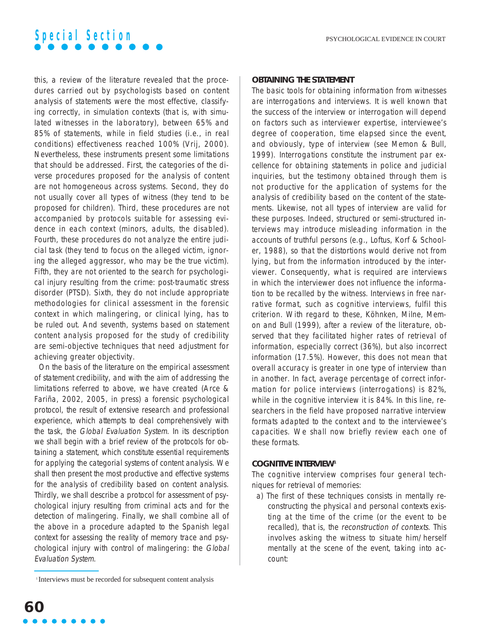this, a review of the literature revealed that the procedures carried out by psychologists based on content analysis of statements were the most effective, classifying correctly, in simulation contexts (that is, with simulated witnesses in the laboratory), between 65% and 85% of statements, while in field studies (i.e., in real conditions) effectiveness reached 100% (Vrij, 2000). Nevertheless, these instruments present some limitations that should be addressed. First, the categories of the diverse procedures proposed for the analysis of content are not homogeneous across systems. Second, they do not usually cover all types of witness (they tend to be proposed for children). Third, these procedures are not accompanied by protocols suitable for assessing evidence in each context (minors, adults, the disabled). Fourth, these procedures do not analyze the entire judicial task (they tend to focus on the alleged victim, ignoring the alleged aggressor, who may be the true victim). Fifth, they are not oriented to the search for psychological injury resulting from the crime: post-traumatic stress disorder (PTSD). Sixth, they do not include appropriate methodologies for clinical assessment in the forensic context in which malingering, or clinical lying, has to be ruled out. And seventh, systems based on statement content analysis proposed for the study of credibility are semi-objective techniques that need adjustment for achieving greater objectivity.

On the basis of the literature on the empirical assessment of statement credibility, and with the aim of addressing the limitations referred to above, we have created (Arce & Fariña, 2002, 2005, in press) a forensic psychological protocol, the result of extensive research and professional experience, which attempts to deal comprehensively with the task, the Global Evaluation System. In its description we shall begin with a brief review of the protocols for obtaining a statement, which constitute essential requirements for applying the categorial systems of content analysis. We shall then present the most productive and effective systems for the analysis of credibility based on content analysis. Thirdly, we shall describe a protocol for assessment of psychological injury resulting from criminal acts and for the detection of malingering. Finally, we shall combine all of the above in a procedure adapted to the Spanish legal context for assessing the reality of memory trace and psychological injury with control of malingering: the Global Evaluation System.

The basic tools for obtaining information from witnesses are interrogations and interviews. It is well known that the success of the interview or interrogation will depend on factors such as interviewer expertise, interviewee's degree of cooperation, time elapsed since the event, and obviously, type of interview (see Memon & Bull, 1999). Interrogations constitute the instrument par excellence for obtaining statements in police and judicial inquiries, but the testimony obtained through them is not productive for the application of systems for the analysis of credibility based on the content of the statements. Likewise, not all types of interview are valid for these purposes. Indeed, structured or semi-structured interviews may introduce misleading information in the accounts of truthful persons (e.g., Loftus, Korf & Schooler, 1988), so that the distortions would derive not from lying, but from the information introduced by the interviewer. Consequently, what is required are interviews in which the interviewer does not influence the information to be recalled by the witness. Interviews in free narrative format, such as cognitive interviews, fulfil this criterion. With regard to these, Köhnken, Milne, Memon and Bull (1999), after a review of the literature, observed that they facilitated higher rates of retrieval of information, especially correct (36%), but also incorrect information (17.5%). However, this does not mean that overall accuracy is greater in one type of interview than in another. In fact, average percentage of correct information for police interviews (interrogations) is 82%, while in the cognitive interview it is 84%. In this line, researchers in the field have proposed narrative interview formats adapted to the context and to the interviewee's capacities. We shall now briefly review each one of these formats.

#### **COGNITIVE INTERVIEW1**

The cognitive interview comprises four general techniques for retrieval of memories:

a) The first of these techniques consists in mentally reconstructing the physical and personal contexts existing at the time of the crime (or the event to be recalled), that is, the reconstruction of contexts. This involves asking the witness to situate him/herself mentally at the scene of the event, taking into account:

**OBTAINING THE STATEMENT**

<sup>&</sup>lt;sup>1</sup> Interviews must be recorded for subsequent content analysis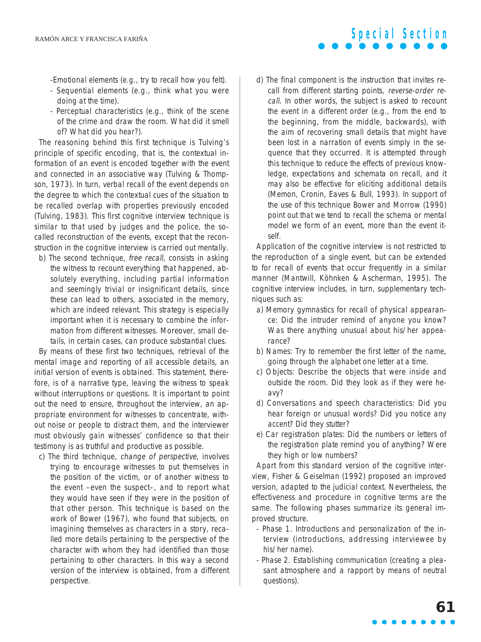-Emotional elements (e.g., try to recall how you felt).

- Sequential elements (e.g., think what you were doing at the time).
- Perceptual characteristics (e.g., think of the scene of the crime and draw the room. What did it smell of? What did you hear?).

The reasoning behind this first technique is Tulving's principle of specific encoding, that is, the contextual information of an event is encoded together with the event and connected in an associative way (Tulving & Thompson, 1973). In turn, verbal recall of the event depends on the degree to which the contextual cues of the situation to be recalled overlap with properties previously encoded (Tulving, 1983). This first cognitive interview technique is similar to that used by judges and the police, the socalled reconstruction of the events, except that the reconstruction in the cognitive interview is carried out mentally.

b) The second technique, *free recall*, consists in asking the witness to recount everything that happened, absolutely everything, including partial information and seemingly trivial or insignificant details, since these can lead to others, associated in the memory, which are indeed relevant. This strategy is especially important when it is necessary to combine the information from different witnesses. Moreover, small details, in certain cases, can produce substantial clues.

By means of these first two techniques, retrieval of the mental image and reporting of all accessible details, an initial version of events is obtained. This statement, therefore, is of a narrative type, leaving the witness to speak without interruptions or questions. It is important to point out the need to ensure, throughout the interview, an appropriate environment for witnesses to concentrate, without noise or people to distract them, and the interviewer must obviously gain witnesses' confidence so that their testimony is as truthful and productive as possible.

c) The third technique, change of perspective, involves trying to encourage witnesses to put themselves in the position of the victim, or of another witness to the event –even the suspect–, and to report what they would have seen if they were in the position of that other person. This technique is based on the work of Bower (1967), who found that subjects, on imagining themselves as characters in a story, recalled more details pertaining to the perspective of the character with whom they had identified than those pertaining to other characters. In this way a second version of the interview is obtained, from a different perspective.

d) The final component is the instruction that invites recall from different starting points, reverse-order recall. In other words, the subject is asked to recount the event in a different order (e.g., from the end to the beginning, from the middle, backwards), with the aim of recovering small details that might have been lost in a narration of events simply in the sequence that they occurred. It is attempted through this technique to reduce the effects of previous knowledge, expectations and schemata on recall, and it may also be effective for eliciting additional details (Memon, Cronin, Eaves & Bull, 1993). In support of the use of this technique Bower and Morrow (1990) point out that we tend to recall the schema or mental model we form of an event, more than the event itself.

**Special Section**

Application of the cognitive interview is not restricted to the reproduction of a single event, but can be extended to for recall of events that occur frequently in a similar manner (Mantwill, Köhnken & Ascherman, 1995). The cognitive interview includes, in turn, supplementary techniques such as:

- a) Memory gymnastics for recall of physical appearance: Did the intruder remind of anyone you know? Was there anything unusual about his/her appearance?
- b) Names: Try to remember the first letter of the name, going through the alphabet one letter at a time.
- c) Objects: Describe the objects that were inside and outside the room. Did they look as if they were heavy?
- d) Conversations and speech characteristics: Did you hear foreign or unusual words? Did you notice any accent? Did they stutter?
- e) Car registration plates: Did the numbers or letters of the registration plate remind you of anything? Were they high or low numbers?

Apart from this standard version of the cognitive interview, Fisher & Geiselman (1992) proposed an improved version, adapted to the judicial context. Nevertheless, the effectiveness and procedure in cognitive terms are the same. The following phases summarize its general improved structure.

- Phase 1. Introductions and personalization of the interview (introductions, addressing interviewee by his/her name).
- Phase 2. Establishing communication (creating a pleasant atmosphere and a rapport by means of neutral questions).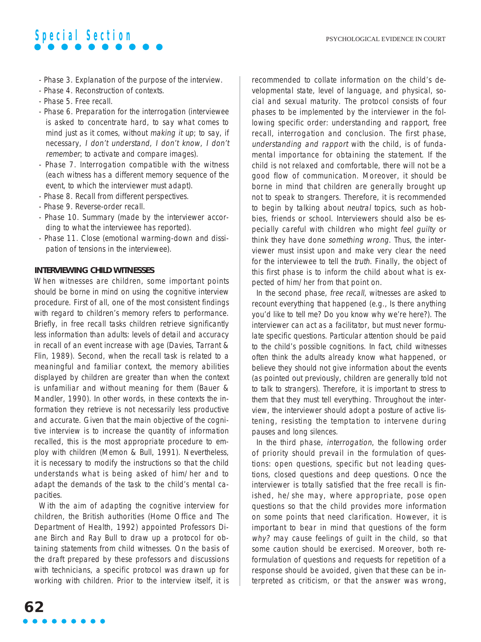- Phase 3. Explanation of the purpose of the interview.
- Phase 4. Reconstruction of contexts.
- Phase 5. Free recall.
- Phase 6. Preparation for the interrogation (interviewee is asked to concentrate hard, to say what comes to mind just as it comes, without making it up; to say, if necessary, I don't understand, I don't know, I don't remember; to activate and compare images).
- Phase 7. Interrogation compatible with the witness (each witness has a different memory sequence of the event, to which the interviewer must adapt).
- Phase 8. Recall from different perspectives.
- Phase 9. Reverse-order recall.
- Phase 10. Summary (made by the interviewer according to what the interviewee has reported).
- Phase 11. Close (emotional warming-down and dissipation of tensions in the interviewee).

#### **INTERVIEWING CHILD WITNESSES**

When witnesses are children, some important points should be borne in mind on using the cognitive interview procedure. First of all, one of the most consistent findings with regard to children's memory refers to performance. Briefly, in free recall tasks children retrieve significantly less information than adults: levels of detail and accuracy in recall of an event increase with age (Davies, Tarrant & Flin, 1989). Second, when the recall task is related to a meaningful and familiar context, the memory abilities displayed by children are greater than when the context is unfamiliar and without meaning for them (Bauer & Mandler, 1990). In other words, in these contexts the information they retrieve is not necessarily less productive and accurate. Given that the main objective of the cognitive interview is to increase the quantity of information recalled, this is the most appropriate procedure to employ with children (Memon & Bull, 1991). Nevertheless, it is necessary to modify the instructions so that the child understands what is being asked of him/her and to adapt the demands of the task to the child's mental capacities.

With the aim of adapting the cognitive interview for children, the British authorities (Home Office and The Department of Health, 1992) appointed Professors Diane Birch and Ray Bull to draw up a protocol for obtaining statements from child witnesses. On the basis of the draft prepared by these professors and discussions with technicians, a specific protocol was drawn up for working with children. Prior to the interview itself, it is recommended to collate information on the child's developmental state, level of language, and physical, social and sexual maturity. The protocol consists of four phases to be implemented by the interviewer in the following specific order: understanding and rapport, free recall, interrogation and conclusion. The first phase, understanding and rapport with the child, is of fundamental importance for obtaining the statement. If the child is not relaxed and comfortable, there will not be a good flow of communication. Moreover, it should be borne in mind that children are generally brought up not to speak to strangers. Therefore, it is recommended to begin by talking about neutral topics, such as hobbies, friends or school. Interviewers should also be especially careful with children who might feel guilty or think they have done something wrong. Thus, the interviewer must insist upon and make very clear the need for the interviewee to tell the truth. Finally, the object of this first phase is to inform the child about what is expected of him/her from that point on.

In the second phase, free recall, witnesses are asked to recount everything that happened (e.g., Is there anything you'd like to tell me? Do you know why we're here?). The interviewer can act as a facilitator, but must never formulate specific questions. Particular attention should be paid to the child's possible cognitions. In fact, child witnesses often think the adults already know what happened, or believe they should not give information about the events (as pointed out previously, children are generally told not to talk to strangers). Therefore, it is important to stress to them that they must tell everything. Throughout the interview, the interviewer should adopt a posture of active listening, resisting the temptation to intervene during pauses and long silences.

In the third phase, interrogation, the following order of priority should prevail in the formulation of questions: open questions, specific but not leading questions, closed questions and deep questions. Once the interviewer is totally satisfied that the free recall is finished, he/she may, where appropriate, pose open questions so that the child provides more information on some points that need clarification. However, it is important to bear in mind that questions of the form why? may cause feelings of quilt in the child, so that some caution should be exercised. Moreover, both reformulation of questions and requests for repetition of a response should be avoided, given that these can be interpreted as criticism, or that the answer was wrong,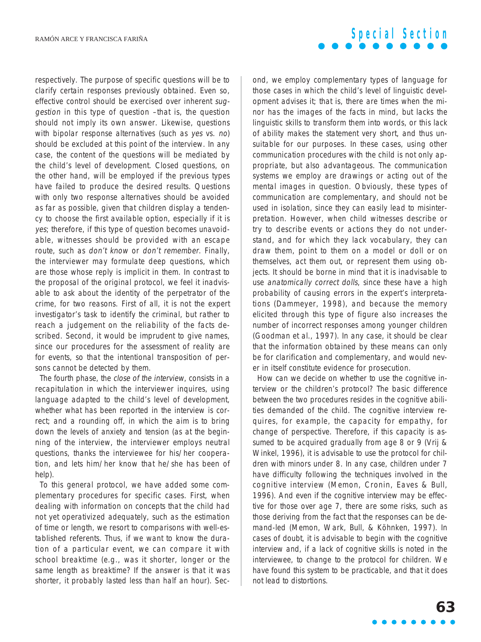respectively. The purpose of specific questions will be to clarify certain responses previously obtained. Even so, effective control should be exercised over inherent suggestion in this type of question –that is, the question should not imply its own answer. Likewise, questions with bipolar response alternatives (such as yes vs. no) should be excluded at this point of the interview. In any case, the content of the questions will be mediated by the child's level of development. Closed questions, on the other hand, will be employed if the previous types have failed to produce the desired results. Questions with only two response alternatives should be avoided as far as possible, given that children display a tendency to choose the first available option, especially if it is yes; therefore, if this type of question becomes unavoidable, witnesses should be provided with an escape route, such as don't know or don't remember. Finally, the interviewer may formulate deep questions, which are those whose reply is implicit in them. In contrast to the proposal of the original protocol, we feel it inadvisable to ask about the identity of the perpetrator of the crime, for two reasons. First of all, it is not the expert investigator's task to identify the criminal, but rather to reach a judgement on the reliability of the facts described. Second, it would be imprudent to give names, since our procedures for the assessment of reality are for events, so that the intentional transposition of persons cannot be detected by them.

The fourth phase, the close of the interview, consists in a recapitulation in which the interviewer inquires, using language adapted to the child's level of development, whether what has been reported in the interview is correct; and a rounding off, in which the aim is to bring down the levels of anxiety and tension (as at the beginning of the interview, the interviewer employs neutral questions, thanks the interviewee for his/her cooperation, and lets him/her know that he/she has been of help).

To this general protocol, we have added some complementary procedures for specific cases. First, when dealing with information on concepts that the child had not yet operativized adequately, such as the estimation of time or length, we resort to comparisons with well-established referents. Thus, if we want to know the duration of a particular event, we can compare it with school breaktime (e.g., was it shorter, longer or the same length as breaktime? If the answer is that it was shorter, it probably lasted less than half an hour). Sec-

#### ond, we employ complementary types of language for those cases in which the child's level of linguistic development advises it; that is, there are times when the minor has the images of the facts in mind, but lacks the linguistic skills to transform them into words, or this lack of ability makes the statement very short, and thus unsuitable for our purposes. In these cases, using other communication procedures with the child is not only appropriate, but also advantageous. The communication systems we employ are drawings or acting out of the mental images in question. Obviously, these types of communication are complementary, and should not be used in isolation, since they can easily lead to misinterpretation. However, when child witnesses describe or try to describe events or actions they do not understand, and for which they lack vocabulary, they can draw them, point to them on a model or doll or on themselves, act them out, or represent them using objects. It should be borne in mind that it is inadvisable to use anatomically correct dolls, since these have a high probability of causing errors in the expert's interpretations (Dammeyer, 1998), and because the memory

be for clarification and complementary, and would never in itself constitute evidence for prosecution. How can we decide on whether to use the cognitive interview or the children's protocol? The basic difference between the two procedures resides in the cognitive abilities demanded of the child. The cognitive interview requires, for example, the capacity for empathy, for change of perspective. Therefore, if this capacity is assumed to be acquired gradually from age 8 or 9 (Vrij & Winkel, 1996), it is advisable to use the protocol for children with minors under 8. In any case, children under 7 have difficulty following the techniques involved in the cognitive interview (Memon, Cronin, Eaves & Bull, 1996). And even if the cognitive interview may be effective for those over age 7, there are some risks, such as those deriving from the fact that the responses can be demand-led (Memon, Wark, Bull, & Köhnken, 1997). In cases of doubt, it is advisable to begin with the cognitive interview and, if a lack of cognitive skills is noted in the interviewee, to change to the protocol for children. We have found this system to be practicable, and that it does not lead to distortions.

elicited through this type of figure also increases the number of incorrect responses among younger children (Goodman et al., 1997). In any case, it should be clear that the information obtained by these means can only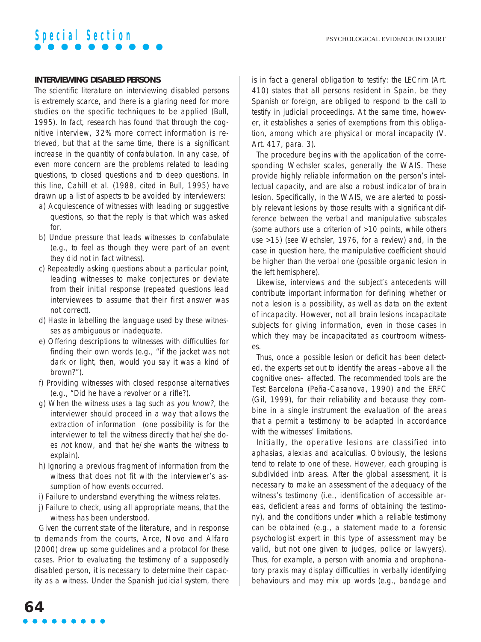

#### **INTERVIEWING DISABLED PERSONS**

The scientific literature on interviewing disabled persons is extremely scarce, and there is a glaring need for more studies on the specific techniques to be applied (Bull, 1995). In fact, research has found that through the cognitive interview, 32% more correct information is retrieved, but that at the same time, there is a significant increase in the quantity of confabulation. In any case, of even more concern are the problems related to leading questions, to closed questions and to deep questions. In this line, Cahill et al. (1988, cited in Bull, 1995) have drawn up a list of aspects to be avoided by interviewers:

- a) Acquiescence of witnesses with leading or suggestive questions, so that the reply is that which was asked for.
- b) Undue pressure that leads witnesses to confabulate (e.g., to feel as though they were part of an event they did not in fact witness).
- c) Repeatedly asking questions about a particular point, leading witnesses to make conjectures or deviate from their initial response (repeated questions lead interviewees to assume that their first answer was not correct).
- d) Haste in labelling the language used by these witnesses as ambiguous or inadequate.
- e) Offering descriptions to witnesses with difficulties for finding their own words (e.g., "if the jacket was not dark or light, then, would you say it was a kind of brown?").
- f) Providing witnesses with closed response alternatives (e.g., "Did he have a revolver or a rifle?).
- g) When the witness uses a tag such as you know?, the interviewer should proceed in a way that allows the extraction of information (one possibility is for the interviewer to tell the witness directly that he/she does not know, and that he/she wants the witness to explain).
- h) Ignoring a previous fragment of information from the witness that does not fit with the interviewer's assumption of how events occurred.
- i) Failure to understand everything the witness relates.
- j) Failure to check, using all appropriate means, that the witness has been understood.

Given the current state of the literature, and in response to demands from the courts, Arce, Novo and Alfaro (2000) drew up some guidelines and a protocol for these cases. Prior to evaluating the testimony of a supposedly disabled person, it is necessary to determine their capacity as a witness. Under the Spanish judicial system, there is in fact a general obligation to testify: the LECrim (Art. 410) states that all persons resident in Spain, be they Spanish or foreign, are obliged to respond to the call to testify in judicial proceedings. At the same time, however, it establishes a series of exemptions from this obligation, among which are physical or moral incapacity (V. Art. 417, para. 3).

The procedure begins with the application of the corresponding Wechsler scales, generally the WAIS. These provide highly reliable information on the person's intellectual capacity, and are also a robust indicator of brain lesion. Specifically, in the WAIS, we are alerted to possibly relevant lesions by those results with a significant difference between the verbal and manipulative subscales (some authors use a criterion of >10 points, while others use >15) (see Wechsler, 1976, for a review) and, in the case in question here, the manipulative coefficient should be higher than the verbal one (possible organic lesion in the left hemisphere).

Likewise, interviews and the subject's antecedents will contribute important information for defining whether or not a lesion is a possibility, as well as data on the extent of incapacity. However, not all brain lesions incapacitate subjects for giving information, even in those cases in which they may be incapacitated as courtroom witnesses.

Thus, once a possible lesion or deficit has been detected, the experts set out to identify the areas –above all the cognitive ones– affected. The recommended tools are the Test Barcelona (Peña-Casanova, 1990) and the ERFC (Gil, 1999), for their reliability and because they combine in a single instrument the evaluation of the areas that a permit a testimony to be adapted in accordance with the witnesses' limitations.

Initially, the operative lesions are classified into aphasias, alexias and acalculias. Obviously, the lesions tend to relate to one of these. However, each grouping is subdivided into areas. After the global assessment, it is necessary to make an assessment of the adequacy of the witness's testimony (i.e., identification of accessible areas, deficient areas and forms of obtaining the testimony), and the conditions under which a reliable testimony can be obtained (e.g., a statement made to a forensic psychologist expert in this type of assessment may be valid, but not one given to judges, police or lawyers). Thus, for example, a person with anomia and orophonatory praxis may display difficulties in verbally identifying behaviours and may mix up words (e.g., bandage and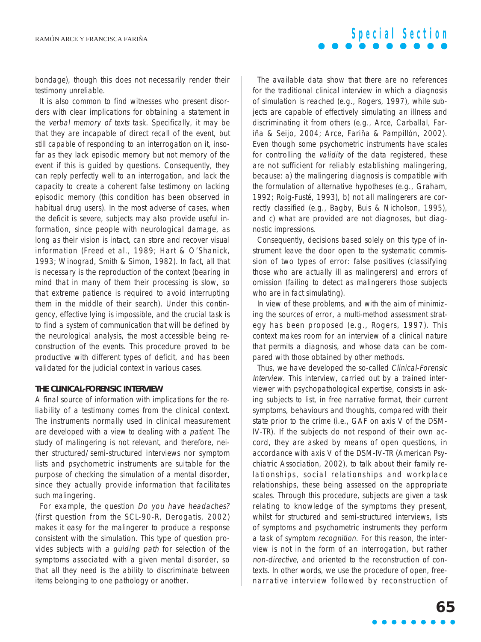bondage), though this does not necessarily render their testimony unreliable.

It is also common to find witnesses who present disorders with clear implications for obtaining a statement in the verbal memory of texts task. Specifically, it may be that they are incapable of direct recall of the event, but still capable of responding to an interrogation on it, insofar as they lack episodic memory but not memory of the event if this is guided by questions. Consequently, they can reply perfectly well to an interrogation, and lack the capacity to create a coherent false testimony on lacking episodic memory (this condition has been observed in habitual drug users). In the most adverse of cases, when the deficit is severe, subjects may also provide useful information, since people with neurological damage, as long as their vision is intact, can store and recover visual information (Freed et al., 1989; Hart & O'Shanick, 1993; Winograd, Smith & Simon, 1982). In fact, all that is necessary is the reproduction of the context (bearing in mind that in many of them their processing is slow, so that extreme patience is required to avoid interrupting them in the middle of their search). Under this contingency, effective lying is impossible, and the crucial task is to find a system of communication that will be defined by the neurological analysis, the most accessible being reconstruction of the events. This procedure proved to be productive with different types of deficit, and has been validated for the judicial context in various cases.

#### **THE CLINICAL-FORENSIC INTERVIEW**

A final source of information with implications for the reliability of a testimony comes from the clinical context. The instruments normally used in clinical measurement are developed with a view to dealing with a patient. The study of malingering is not relevant, and therefore, neither structured/semi-structured interviews nor symptom lists and psychometric instruments are suitable for the purpose of checking the simulation of a mental disorder, since they actually provide information that facilitates such malingering.

For example, the question Do you have headaches? (first question from the SCL-90-R, Derogatis, 2002) makes it easy for the malingerer to produce a response consistent with the simulation. This type of question provides subjects with a guiding path for selection of the symptoms associated with a given mental disorder, so that all they need is the ability to discriminate between items belonging to one pathology or another.

The available data show that there are no references for the traditional clinical interview in which a diagnosis of simulation is reached (e.g., Rogers, 1997), while subjects are capable of effectively simulating an illness and discriminating it from others (e.g., Arce, Carballal, Fariña & Seijo, 2004; Arce, Fariña & Pampillón, 2002). Even though some psychometric instruments have scales for controlling the validity of the data registered, these are not sufficient for reliably establishing malingering, because: a) the malingering diagnosis is compatible with the formulation of alternative hypotheses (e.g., Graham, 1992; Roig-Fusté, 1993), b) not all malingerers are correctly classified (e.g., Bagby, Buis & Nicholson, 1995), and c) what are provided are not diagnoses, but diagnostic impressions.

**Special Section**

Consequently, decisions based solely on this type of instrument leave the door open to the systematic commission of two types of error: false positives (classifying those who are actually ill as malingerers) and errors of omission (failing to detect as malingerers those subjects who are in fact simulating).

In view of these problems, and with the aim of minimizing the sources of error, a multi-method assessment strategy has been proposed (e.g., Rogers, 1997). This context makes room for an interview of a clinical nature that permits a diagnosis, and whose data can be compared with those obtained by other methods.

Thus, we have developed the so-called Clinical-Forensic Interview. This interview, carried out by a trained interviewer with psychopathological expertise, consists in asking subjects to list, in free narrative format, their current symptoms, behaviours and thoughts, compared with their state prior to the crime (i.e., GAF on axis V of the DSM-IV-TR). If the subjects do not respond of their own accord, they are asked by means of open questions, in accordance with axis V of the DSM-IV-TR (American Psychiatric Association, 2002), to talk about their family relationships, social relationships and workplace relationships, these being assessed on the appropriate scales. Through this procedure, subjects are given a task relating to knowledge of the symptoms they present, whilst for structured and semi-structured interviews, lists of symptoms and psychometric instruments they perform a task of symptom recognition. For this reason, the interview is not in the form of an interrogation, but rather non-directive, and oriented to the reconstruction of contexts. In other words, we use the procedure of open, freenarrative interview followed by reconstruction of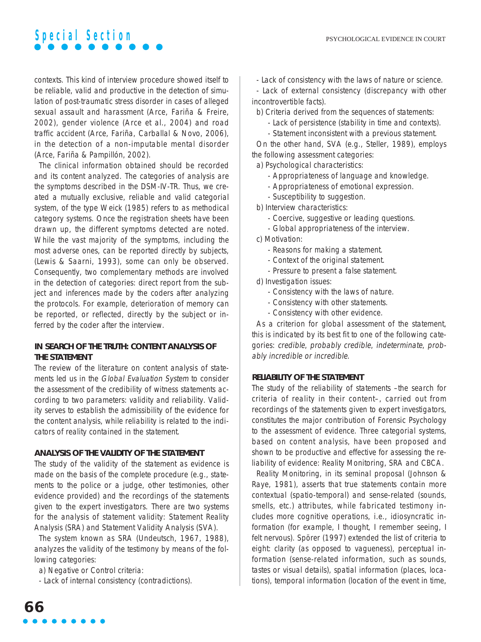contexts. This kind of interview procedure showed itself to be reliable, valid and productive in the detection of simulation of post-traumatic stress disorder in cases of alleged sexual assault and harassment (Arce, Fariña & Freire, 2002), gender violence (Arce et al., 2004) and road traffic accident (Arce, Fariña, Carballal & Novo, 2006), in the detection of a non-imputable mental disorder (Arce, Fariña & Pampillón, 2002).

The clinical information obtained should be recorded and its content analyzed. The categories of analysis are the symptoms described in the DSM-IV-TR. Thus, we created a mutually exclusive, reliable and valid categorial system, of the type Weick (1985) refers to as methodical category systems. Once the registration sheets have been drawn up, the different symptoms detected are noted. While the vast majority of the symptoms, including the most adverse ones, can be reported directly by subjects, (Lewis & Saarni, 1993), some can only be observed. Consequently, two complementary methods are involved in the detection of categories: direct report from the subject and inferences made by the coders after analyzing the protocols. For example, deterioration of memory can be reported, or reflected, directly by the subject or inferred by the coder after the interview.

#### **IN SEARCH OF THE TRUTH: CONTENT ANALYSIS OF THE STATEMENT**

The review of the literature on content analysis of statements led us in the Global Evaluation System to consider the assessment of the credibility of witness statements according to two parameters: validity and reliability. Validity serves to establish the admissibility of the evidence for the content analysis, while reliability is related to the indicators of reality contained in the statement.

#### **ANALYSIS OF THE VALIDITY OF THE STATEMENT**

The study of the validity of the statement as evidence is made on the basis of the complete procedure (e.g., statements to the police or a judge, other testimonies, other evidence provided) and the recordings of the statements given to the expert investigators. There are two systems for the analysis of statement validity: Statement Reality Analysis (SRA) and Statement Validity Analysis (SVA).

The system known as SRA (Undeutsch, 1967, 1988), analyzes the validity of the testimony by means of the following categories:

a) Negative or Control criteria:

- Lack of internal consistency (contradictions).

- Lack of consistency with the laws of nature or science.

- Lack of external consistency (discrepancy with other incontrovertible facts).

b) Criteria derived from the sequences of statements:

- Lack of persistence (stability in time and contexts).
- Statement inconsistent with a previous statement.

On the other hand, SVA (e.g., Steller, 1989), employs the following assessment categories:

a) Psychological characteristics:

- Appropriateness of language and knowledge.
- Appropriateness of emotional expression.
- Susceptibility to suggestion.

b) Interview characteristics:

- Coercive, suggestive or leading questions.
- Global appropriateness of the interview.

c) Motivation:

- Reasons for making a statement.
- Context of the original statement.
- Pressure to present a false statement.
- d) Investigation issues:
	- Consistency with the laws of nature.
	- Consistency with other statements.
	- Consistency with other evidence.

As a criterion for global assessment of the statement, this is indicated by its best fit to one of the following categories: credible, probably credible, indeterminate, probably incredible or incredible.

#### **RELIABILITY OF THE STATEMENT**

The study of the reliability of statements –the search for criteria of reality in their content–, carried out from recordings of the statements given to expert investigators, constitutes the major contribution of Forensic Psychology to the assessment of evidence. Three categorial systems, based on content analysis, have been proposed and shown to be productive and effective for assessing the reliability of evidence: Reality Monitoring, SRA and CBCA.

Reality Monitoring, in its seminal proposal (Johnson & Raye, 1981), asserts that true statements contain more contextual (spatio-temporal) and sense-related (sounds, smells, etc.) attributes, while fabricated testimony includes more cognitive operations, i.e., idiosyncratic information (for example, I thought, I remember seeing, I felt nervous). Spörer (1997) extended the list of criteria to eight: clarity (as opposed to vagueness), perceptual information (sense-related information, such as sounds, tastes or visual details), spatial information (places, locations), temporal information (location of the event in time,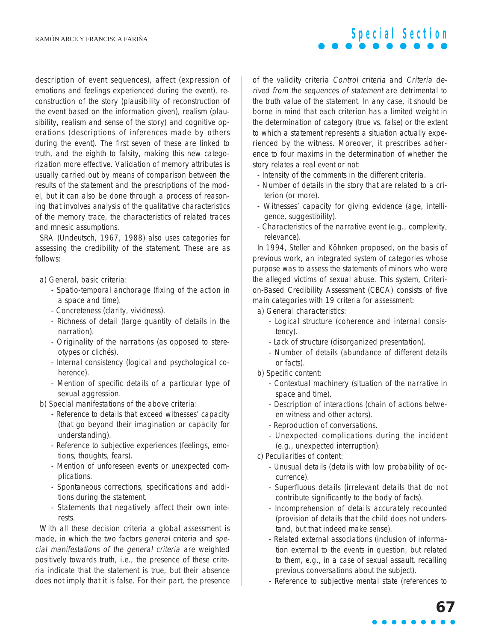description of event sequences), affect (expression of emotions and feelings experienced during the event), reconstruction of the story (plausibility of reconstruction of the event based on the information given), realism (plausibility, realism and sense of the story) and cognitive operations (descriptions of inferences made by others during the event). The first seven of these are linked to truth, and the eighth to falsity, making this new categorization more effective. Validation of memory attributes is usually carried out by means of comparison between the results of the statement and the prescriptions of the model, but it can also be done through a process of reasoning that involves analysis of the qualitative characteristics of the memory trace, the characteristics of related traces and mnesic assumptions.

SRA (Undeutsch, 1967, 1988) also uses categories for assessing the credibility of the statement. These are as follows:

- a) General, basic criteria:
	- Spatio-temporal anchorage (fixing of the action in a space and time).
	- Concreteness (clarity, vividness).
	- Richness of detail (large quantity of details in the narration).
	- Originality of the narrations (as opposed to stereotypes or clichés).
	- Internal consistency (logical and psychological coherence).
	- Mention of specific details of a particular type of sexual aggression.
- b) Special manifestations of the above criteria:
	- Reference to details that exceed witnesses' capacity (that go beyond their imagination or capacity for understanding).
	- Reference to subjective experiences (feelings, emotions, thoughts, fears).
	- Mention of unforeseen events or unexpected complications.
	- Spontaneous corrections, specifications and additions during the statement.
	- Statements that negatively affect their own interests.

With all these decision criteria a global assessment is made, in which the two factors general criteria and special manifestations of the general criteria are weighted positively towards truth, i.e., the presence of these criteria indicate that the statement is true, but their absence does not imply that it is false. For their part, the presence

of the validity criteria Control criteria and Criteria derived from the sequences of statement are detrimental to the truth value of the statement. In any case, it should be borne in mind that each criterion has a limited weight in the determination of category (true vs. false) or the extent to which a statement represents a situation actually experienced by the witness. Moreover, it prescribes adherence to four maxims in the determination of whether the story relates a real event or not:

**Special Section**

- Intensity of the comments in the different criteria.
- Number of details in the story that are related to a criterion (or more).
- Witnesses' capacity for giving evidence (age, intelligence, suggestibility).
- Characteristics of the narrative event (e.g., complexity, relevance).

In 1994, Steller and Köhnken proposed, on the basis of previous work, an integrated system of categories whose purpose was to assess the statements of minors who were the alleged victims of sexual abuse. This system, Criterion-Based Credibility Assessment (CBCA) consists of five main categories with 19 criteria for assessment:

a) General characteristics:

- Logical structure (coherence and internal consistency).
- Lack of structure (disorganized presentation).
- Number of details (abundance of different details or facts).
- b) Specific content:
	- Contextual machinery (situation of the narrative in space and time).
	- Description of interactions (chain of actions between witness and other actors).
	- Reproduction of conversations.
	- Unexpected complications during the incident (e.g., unexpected interruption).
- c) Peculiarities of content:
	- Unusual details (details with low probability of occurrence).
	- Superfluous details (irrelevant details that do not contribute significantly to the body of facts).
	- Incomprehension of details accurately recounted (provision of details that the child does not understand, but that indeed make sense).
	- Related external associations (inclusion of information external to the events in question, but related to them, e.g., in a case of sexual assault, recalling previous conversations about the subject).
	- Reference to subjective mental state (references to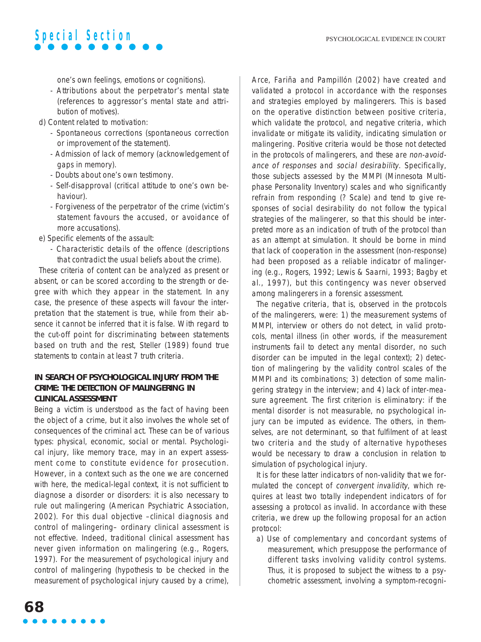

one's own feelings, emotions or cognitions).

- Attributions about the perpetrator's mental state (references to aggressor's mental state and attribution of motives).
- d) Content related to motivation:
	- Spontaneous corrections (spontaneous correction or improvement of the statement).
	- Admission of lack of memory (acknowledgement of gaps in memory).
	- Doubts about one's own testimony.
	- Self-disapproval (critical attitude to one's own behaviour).
	- Forgiveness of the perpetrator of the crime (victim's statement favours the accused, or avoidance of more accusations).
- e) Specific elements of the assault:
	- Characteristic details of the offence (descriptions that contradict the usual beliefs about the crime).

These criteria of content can be analyzed as present or absent, or can be scored according to the strength or degree with which they appear in the statement. In any case, the presence of these aspects will favour the interpretation that the statement is true, while from their absence it cannot be inferred that it is false. With regard to the cut-off point for discriminating between statements based on truth and the rest, Steller (1989) found true statements to contain at least 7 truth criteria.

#### **IN SEARCH OF PSYCHOLOGICAL INJURY FROM THE CRIME: THE DETECTION OF MALINGERING IN CLINICAL ASSESSMENT**

Being a victim is understood as the fact of having been the object of a crime, but it also involves the whole set of consequences of the criminal act. These can be of various types: physical, economic, social or mental. Psychological injury, like memory trace, may in an expert assessment come to constitute evidence for prosecution. However, in a context such as the one we are concerned with here, the medical-legal context, it is not sufficient to diagnose a disorder or disorders: it is also necessary to rule out malingering (American Psychiatric Association, 2002). For this dual objective –clinical diagnosis and control of malingering– ordinary clinical assessment is not effective. Indeed, traditional clinical assessment has never given information on malingering (e.g., Rogers, 1997). For the measurement of psychological injury and control of malingering (hypothesis to be checked in the measurement of psychological injury caused by a crime), Arce, Fariña and Pampillón (2002) have created and validated a protocol in accordance with the responses and strategies employed by malingerers. This is based on the operative distinction between positive criteria, which validate the protocol, and negative criteria, which invalidate or mitigate its validity, indicating simulation or malingering. Positive criteria would be those not detected in the protocols of malingerers, and these are non-avoidance of responses and social desirability. Specifically, those subjects assessed by the MMPI (Minnesota Multiphase Personality Inventory) scales and who significantly refrain from responding (? Scale) and tend to give responses of social desirability do not follow the typical strategies of the malingerer, so that this should be interpreted more as an indication of truth of the protocol than as an attempt at simulation. It should be borne in mind that lack of cooperation in the assessment (non-response) had been proposed as a reliable indicator of malingering (e.g., Rogers, 1992; Lewis & Saarni, 1993; Bagby et al., 1997), but this contingency was never observed among malingerers in a forensic assessment.

The negative criteria, that is, observed in the protocols of the malingerers, were: 1) the measurement systems of MMPI, interview or others do not detect, in valid protocols, mental illness (in other words, if the measurement instruments fail to detect any mental disorder, no such disorder can be imputed in the legal context); 2) detection of malingering by the validity control scales of the MMPI and its combinations; 3) detection of some malingering strategy in the interview; and 4) lack of inter-measure agreement. The first criterion is eliminatory: if the mental disorder is not measurable, no psychological injury can be imputed as evidence. The others, in themselves, are not determinant, so that fulfilment of at least two criteria and the study of alternative hypotheses would be necessary to draw a conclusion in relation to simulation of psychological injury.

It is for these latter indicators of non-validity that we formulated the concept of convergent invalidity, which requires at least two totally independent indicators of for assessing a protocol as invalid. In accordance with these criteria, we drew up the following proposal for an action protocol:

a) Use of complementary and concordant systems of measurement, which presuppose the performance of different tasks involving validity control systems. Thus, it is proposed to subject the witness to a psychometric assessment, involving a symptom-recogni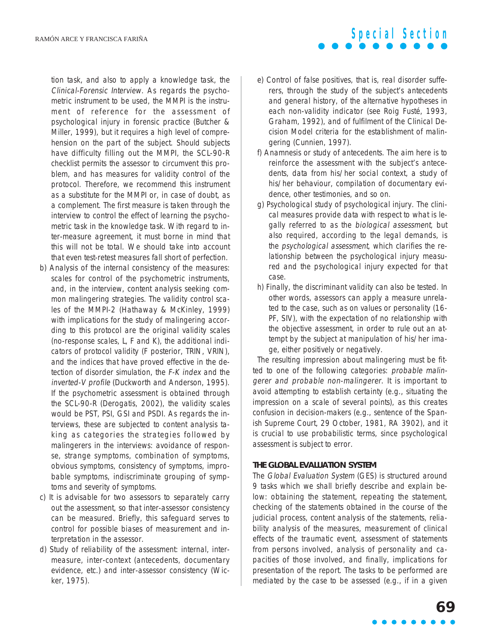tion task, and also to apply a knowledge task, the Clinical-Forensic Interview. As regards the psychometric instrument to be used, the MMPI is the instrument of reference for the assessment of psychological injury in forensic practice (Butcher & Miller, 1999), but it requires a high level of comprehension on the part of the subject. Should subjects have difficulty filling out the MMPI, the SCL-90-R checklist permits the assessor to circumvent this problem, and has measures for validity control of the protocol. Therefore, we recommend this instrument as a substitute for the MMPI or, in case of doubt, as a complement. The first measure is taken through the interview to control the effect of learning the psychometric task in the knowledge task. With regard to inter-measure agreement, it must borne in mind that this will not be total. We should take into account that even test-retest measures fall short of perfection.

- b) Analysis of the internal consistency of the measures: scales for control of the psychometric instruments, and, in the interview, content analysis seeking common malingering strategies. The validity control scales of the MMPI-2 (Hathaway & McKinley, 1999) with implications for the study of malingering according to this protocol are the original validity scales (no-response scales, L, F and K), the additional indicators of protocol validity (F posterior, TRIN, VRIN), and the indices that have proved effective in the detection of disorder simulation, the F-K index and the inverted-V profile (Duckworth and Anderson, 1995). If the psychometric assessment is obtained through the SCL-90-R (Derogatis, 2002), the validity scales would be PST, PSI, GSI and PSDI. As regards the interviews, these are subjected to content analysis taking as categories the strategies followed by malingerers in the interviews: avoidance of response, strange symptoms, combination of symptoms, obvious symptoms, consistency of symptoms, improbable symptoms, indiscriminate grouping of symptoms and severity of symptoms.
- c) It is advisable for two assessors to separately carry out the assessment, so that inter-assessor consistency can be measured. Briefly, this safeguard serves to control for possible biases of measurement and interpretation in the assessor.
- d) Study of reliability of the assessment: internal, intermeasure, inter-context (antecedents, documentary evidence, etc.) and inter-assessor consistency (Wicker, 1975).

e) Control of false positives, that is, real disorder sufferers, through the study of the subject's antecedents and general history, of the alternative hypotheses in each non-validity indicator (see Roig Fusté, 1993, Graham, 1992), and of fulfilment of the Clinical Decision Model criteria for the establishment of malingering (Cunnien, 1997).

**Special Section**

- f) Anamnesis or study of antecedents. The aim here is to reinforce the assessment with the subject's antecedents, data from his/her social context, a study of his/her behaviour, compilation of documentary evidence, other testimonies, and so on.
- g) Psychological study of psychological injury. The clinical measures provide data with respect to what is legally referred to as the biological assessment, but also required, according to the legal demands, is the psychological assessment, which clarifies the relationship between the psychological injury measured and the psychological injury expected for that case.
- h) Finally, the discriminant validity can also be tested. In other words, assessors can apply a measure unrelated to the case, such as on values or personality (16- PF, SIV), with the expectation of no relationship with the objective assessment, in order to rule out an attempt by the subject at manipulation of his/her image, either positively or negatively.

The resulting impression about malingering must be fitted to one of the following categories: probable malingerer and probable non-malingerer. It is important to avoid attempting to establish certainty (e.g., situating the impression on a scale of several points), as this creates confusion in decision-makers (e.g., sentence of the Spanish Supreme Court, 29 October, 1981, RA 3902), and it is crucial to use probabilistic terms, since psychological assessment is subject to error.

#### **THE GLOBAL EVALUATION SYSTEM**

The Global Evaluation System (GES) is structured around 9 tasks which we shall briefly describe and explain below: obtaining the statement, repeating the statement, checking of the statements obtained in the course of the judicial process, content analysis of the statements, reliability analysis of the measures, measurement of clinical effects of the traumatic event, assessment of statements from persons involved, analysis of personality and capacities of those involved, and finally, implications for presentation of the report. The tasks to be performed are mediated by the case to be assessed (e.g., if in a given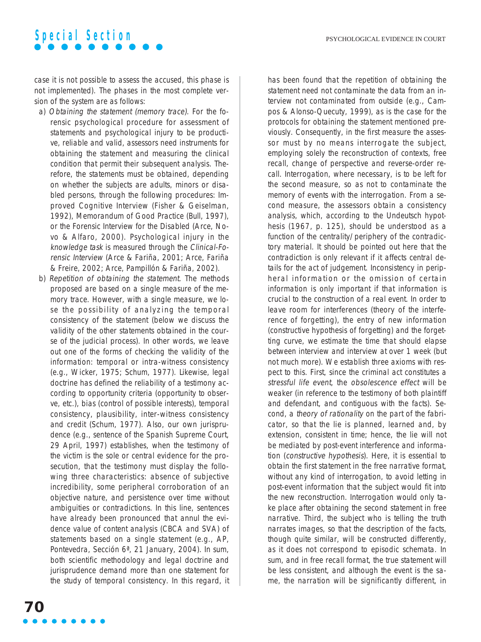case it is not possible to assess the accused, this phase is not implemented). The phases in the most complete version of the system are as follows:

- a) Obtaining the statement (memory trace). For the forensic psychological procedure for assessment of statements and psychological injury to be productive, reliable and valid, assessors need instruments for obtaining the statement and measuring the clinical condition that permit their subsequent analysis. Therefore, the statements must be obtained, depending on whether the subjects are adults, minors or disabled persons, through the following procedures: Improved Cognitive Interview (Fisher & Geiselman, 1992), Memorandum of Good Practice (Bull, 1997), or the Forensic Interview for the Disabled (Arce, Novo & Alfaro, 2000). Psychological injury in the knowledge task is measured through the Clinical-Forensic Interview (Arce & Fariña, 2001; Arce, Fariña & Freire, 2002; Arce, Pampillón & Fariña, 2002).
- b) Repetition of obtaining the statement. The methods proposed are based on a single measure of the memory trace. However, with a single measure, we lose the possibility of analyzing the temporal consistency of the statement (below we discuss the validity of the other statements obtained in the course of the judicial process). In other words, we leave out one of the forms of checking the validity of the information: temporal or intra-witness consistency (e.g., Wicker, 1975; Schum, 1977). Likewise, legal doctrine has defined the reliability of a testimony according to opportunity criteria (opportunity to observe, etc.), bias (control of possible interests), temporal consistency, plausibility, inter-witness consistency and credit (Schum, 1977). Also, our own jurisprudence (e.g., sentence of the Spanish Supreme Court, 29 April, 1997) establishes, when the testimony of the victim is the sole or central evidence for the prosecution, that the testimony must display the following three characteristics: absence of subjective incredibility, some peripheral corroboration of an objective nature, and persistence over time without ambiguities or contradictions. In this line, sentences have already been pronounced that annul the evidence value of content analysis (CBCA and SVA) of statements based on a single statement (e.g., AP, Pontevedra, Sección 6ª, 21 January, 2004). In sum, both scientific methodology and legal doctrine and jurisprudence demand more than one statement for the study of temporal consistency. In this regard, it

has been found that the repetition of obtaining the statement need not contaminate the data from an interview not contaminated from outside (e.g., Campos & Alonso-Quecuty, 1999), as is the case for the protocols for obtaining the statement mentioned previously. Consequently, in the first measure the assessor must by no means interrogate the subject, employing solely the reconstruction of contexts, free recall, change of perspective and reverse-order recall. Interrogation, where necessary, is to be left for the second measure, so as not to contaminate the memory of events with the interrogation. From a second measure, the assessors obtain a consistency analysis, which, according to the Undeutsch hypothesis (1967, p. 125), should be understood as a function of the centrality/periphery of the contradictory material. It should be pointed out here that the contradiction is only relevant if it affects central details for the act of judgement. Inconsistency in peripheral information or the omission of certain information is only important if that information is crucial to the construction of a real event. In order to leave room for interferences (theory of the interference of forgetting), the entry of new information (constructive hypothesis of forgetting) and the forgetting curve, we estimate the time that should elapse between interview and interview at over 1 week (but not much more). We establish three axioms with respect to this. First, since the criminal act constitutes a stressful life event, the obsolescence effect will be weaker (in reference to the testimony of both plaintiff and defendant, and contiguous with the facts). Second, a theory of rationality on the part of the fabricator, so that the lie is planned, learned and, by extension, consistent in time; hence, the lie will not be mediated by post-event interference and information (constructive hypothesis). Here, it is essential to obtain the first statement in the free narrative format, without any kind of interrogation, to avoid letting in post-event information that the subject would fit into the new reconstruction. Interrogation would only take place after obtaining the second statement in free narrative. Third, the subject who is telling the truth narrates images, so that the description of the facts, though quite similar, will be constructed differently, as it does not correspond to episodic schemata. In sum, and in free recall format, the true statement will be less consistent, and although the event is the same, the narration will be significantly different, in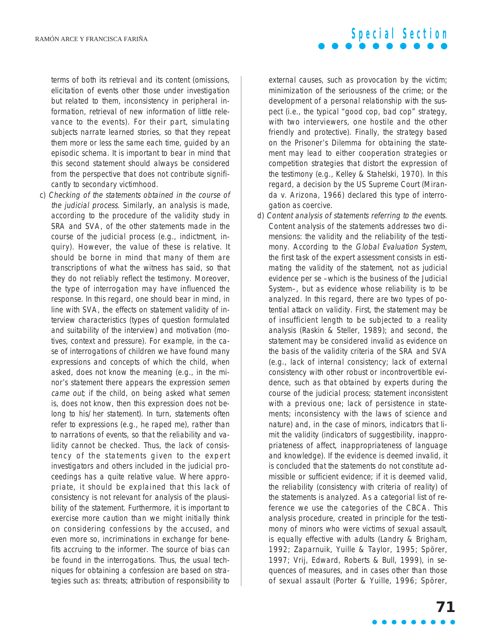terms of both its retrieval and its content (omissions, elicitation of events other those under investigation but related to them, inconsistency in peripheral information, retrieval of new information of little relevance to the events). For their part, simulating subjects narrate learned stories, so that they repeat them more or less the same each time, guided by an episodic schema. It is important to bear in mind that this second statement should always be considered from the perspective that does not contribute significantly to secondary victimhood.

c) Checking of the statements obtained in the course of the judicial process. Similarly, an analysis is made, according to the procedure of the validity study in SRA and SVA, of the other statements made in the course of the judicial process (e.g., indictment, inquiry). However, the value of these is relative. It should be borne in mind that many of them are transcriptions of what the witness has said, so that they do not reliably reflect the testimony. Moreover, the type of interrogation may have influenced the response. In this regard, one should bear in mind, in line with SVA, the effects on statement validity of interview characteristics (types of question formulated and suitability of the interview) and motivation (motives, context and pressure). For example, in the case of interrogations of children we have found many expressions and concepts of which the child, when asked, does not know the meaning (e.g., in the minor's statement there appears the expression semen came out; if the child, on being asked what semen is, does not know, then this expression does not belong to his/her statement). In turn, statements often refer to expressions (e.g., he raped me), rather than to narrations of events, so that the reliability and validity cannot be checked. Thus, the lack of consistency of the statements given to the expert investigators and others included in the judicial proceedings has a quite relative value. Where appropriate, it should be explained that this lack of consistency is not relevant for analysis of the plausibility of the statement. Furthermore, it is important to exercise more caution than we might initially think on considering confessions by the accused, and even more so, incriminations in exchange for benefits accruing to the informer. The source of bias can be found in the interrogations. Thus, the usual techniques for obtaining a confession are based on strategies such as: threats; attribution of responsibility to

**Special Section**

external causes, such as provocation by the victim; minimization of the seriousness of the crime; or the development of a personal relationship with the suspect (i.e., the typical "good cop, bad cop" strategy, with two interviewers, one hostile and the other friendly and protective). Finally, the strategy based on the Prisoner's Dilemma for obtaining the statement may lead to either cooperation strategies or competition strategies that distort the expression of the testimony (e.g., Kelley & Stahelski, 1970). In this regard, a decision by the US Supreme Court (Miranda v. Arizona, 1966) declared this type of interrogation as coercive.

d) Content analysis of statements referring to the events. Content analysis of the statements addresses two dimensions: the validity and the reliability of the testimony. According to the Global Evaluation System, the first task of the expert assessment consists in estimating the validity of the statement, not as judicial evidence per se –which is the business of the Judicial System–, but as evidence whose reliability is to be analyzed. In this regard, there are two types of potential attack on validity. First, the statement may be of insufficient length to be subjected to a reality analysis (Raskin & Steller, 1989); and second, the statement may be considered invalid as evidence on the basis of the validity criteria of the SRA and SVA (e.g., lack of internal consistency; lack of external consistency with other robust or incontrovertible evidence, such as that obtained by experts during the course of the judicial process; statement inconsistent with a previous one; lack of persistence in statements; inconsistency with the laws of science and nature) and, in the case of minors, indicators that limit the validity (indicators of suggestibility, inappropriateness of affect, inappropriateness of language and knowledge). If the evidence is deemed invalid, it is concluded that the statements do not constitute admissible or sufficient evidence; if it is deemed valid, the reliability (consistency with criteria of reality) of the statements is analyzed. As a categorial list of reference we use the categories of the CBCA. This analysis procedure, created in principle for the testimony of minors who were victims of sexual assault, is equally effective with adults (Landry & Brigham, 1992; Zaparnuik, Yuille & Taylor, 1995; Spörer, 1997; Vrij, Edward, Roberts & Bull, 1999), in sequences of measures, and in cases other than those of sexual assault (Porter & Yuille, 1996; Spörer,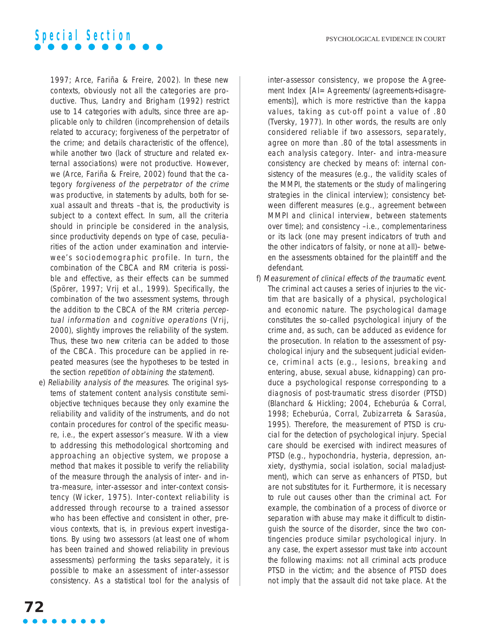

1997; Arce, Fariña & Freire, 2002). In these new contexts, obviously not all the categories are productive. Thus, Landry and Brigham (1992) restrict use to 14 categories with adults, since three are applicable only to children (incomprehension of details related to accuracy; forgiveness of the perpetrator of the crime; and details characteristic of the offence), while another two (lack of structure and related external associations) were not productive. However, we (Arce, Fariña & Freire, 2002) found that the category forgiveness of the perpetrator of the crime was productive, in statements by adults, both for sexual assault and threats –that is, the productivity is subject to a context effect. In sum, all the criteria should in principle be considered in the analysis, since productivity depends on type of case, peculiarities of the action under examination and interviewee's sociodemographic profile. In turn, the combination of the CBCA and RM criteria is possible and effective, as their effects can be summed (Spörer, 1997; Vrij et al., 1999). Specifically, the combination of the two assessment systems, through the addition to the CBCA of the RM criteria perceptual information and cognitive operations (Vrij, 2000), slightly improves the reliability of the system. Thus, these two new criteria can be added to those of the CBCA. This procedure can be applied in repeated measures (see the hypotheses to be tested in the section repetition of obtaining the statement).

e) Reliability analysis of the measures. The original systems of statement content analysis constitute semiobjective techniques because they only examine the reliability and validity of the instruments, and do not contain procedures for control of the specific measure, i.e., the expert assessor's measure. With a view to addressing this methodological shortcoming and approaching an objective system, we propose a method that makes it possible to verify the reliability of the measure through the analysis of inter- and intra-measure, inter-assessor and inter-context consistency (Wicker, 1975). Inter-context reliability is addressed through recourse to a trained assessor who has been effective and consistent in other, previous contexts, that is, in previous expert investigations. By using two assessors (at least one of whom has been trained and showed reliability in previous assessments) performing the tasks separately, it is possible to make an assessment of inter-assessor consistency. As a statistical tool for the analysis of inter-assessor consistency, we propose the Agreement Index [AI= Agreements/(agreements+disagreements)], which is more restrictive than the kappa values, taking as cut-off point a value of .80 (Tversky, 1977). In other words, the results are only considered reliable if two assessors, separately, agree on more than .80 of the total assessments in each analysis category. Inter- and intra-measure consistency are checked by means of: internal consistency of the measures (e.g., the validity scales of the MMPI, the statements or the study of malingering strategies in the clinical interview); consistency between different measures (e.g., agreement between MMPI and clinical interview, between statements over time); and consistency –i.e., complementariness or its lack (one may present indicators of truth and the other indicators of falsity, or none at all)– between the assessments obtained for the plaintiff and the defendant.

f) Measurement of clinical effects of the traumatic event. The criminal act causes a series of injuries to the victim that are basically of a physical, psychological and economic nature. The psychological damage constitutes the so-called psychological injury of the crime and, as such, can be adduced as evidence for the prosecution. In relation to the assessment of psychological injury and the subsequent judicial evidence, criminal acts (e.g., lesions, breaking and entering, abuse, sexual abuse, kidnapping) can produce a psychological response corresponding to a diagnosis of post-traumatic stress disorder (PTSD) (Blanchard & Hickling; 2004, Echeburúa & Corral, 1998; Echeburúa, Corral, Zubizarreta & Sarasúa, 1995). Therefore, the measurement of PTSD is crucial for the detection of psychological injury. Special care should be exercised with indirect measures of PTSD (e.g., hypochondria, hysteria, depression, anxiety, dysthymia, social isolation, social maladjustment), which can serve as enhancers of PTSD, but are not substitutes for it. Furthermore, it is necessary to rule out causes other than the criminal act. For example, the combination of a process of divorce or separation with abuse may make it difficult to distinguish the source of the disorder, since the two contingencies produce similar psychological injury. In any case, the expert assessor must take into account the following maxims: not all criminal acts produce PTSD in the victim; and the absence of PTSD does not imply that the assault did not take place. At the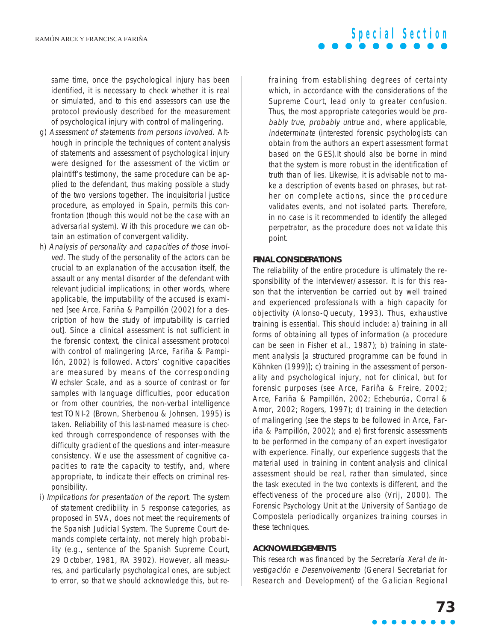same time, once the psychological injury has been identified, it is necessary to check whether it is real or simulated, and to this end assessors can use the protocol previously described for the measurement of psychological injury with control of malingering.

- g) Assessment of statements from persons involved. Although in principle the techniques of content analysis of statements and assessment of psychological injury were designed for the assessment of the victim or plaintiff's testimony, the same procedure can be applied to the defendant, thus making possible a study of the two versions together. The inquisitorial justice procedure, as employed in Spain, permits this confrontation (though this would not be the case with an adversarial system). With this procedure we can obtain an estimation of convergent validity.
- h) Analysis of personality and capacities of those involved. The study of the personality of the actors can be crucial to an explanation of the accusation itself, the assault or any mental disorder of the defendant with relevant judicial implications; in other words, where applicable, the imputability of the accused is examined [see Arce, Fariña & Pampillón (2002) for a description of how the study of imputability is carried out]. Since a clinical assessment is not sufficient in the forensic context, the clinical assessment protocol with control of malingering (Arce, Fariña & Pampillón, 2002) is followed. Actors' cognitive capacities are measured by means of the corresponding Wechsler Scale, and as a source of contrast or for samples with language difficulties, poor education or from other countries, the non-verbal intelligence test TONI-2 (Brown, Sherbenou & Johnsen, 1995) is taken. Reliability of this last-named measure is checked through correspondence of responses with the difficulty gradient of the questions and inter-measure consistency. We use the assessment of cognitive capacities to rate the capacity to testify, and, where appropriate, to indicate their effects on criminal responsibility.
- i) Implications for presentation of the report. The system of statement credibility in 5 response categories, as proposed in SVA, does not meet the requirements of the Spanish Judicial System. The Supreme Court demands complete certainty, not merely high probability (e.g., sentence of the Spanish Supreme Court, 29 October, 1981, RA 3902). However, all measures, and particularly psychological ones, are subject to error, so that we should acknowledge this, but re-

fraining from establishing degrees of certainty which, in accordance with the considerations of the Supreme Court, lead only to greater confusion. Thus, the most appropriate categories would be probably true, probably untrue and, where applicable, indeterminate (interested forensic psychologists can obtain from the authors an expert assessment format based on the GES).It should also be borne in mind that the system is more robust in the identification of truth than of lies. Likewise, it is advisable not to make a description of events based on phrases, but rather on complete actions, since the procedure validates events, and not isolated parts. Therefore, in no case is it recommended to identify the alleged perpetrator, as the procedure does not validate this point.

#### **FINAL CONSIDERATIONS**

The reliability of the entire procedure is ultimately the responsibility of the interviewer/assessor. It is for this reason that the intervention be carried out by well trained and experienced professionals with a high capacity for objectivity (Alonso-Quecuty, 1993). Thus, exhaustive training is essential. This should include: a) training in all forms of obtaining all types of information (a procedure can be seen in Fisher et al., 1987); b) training in statement analysis [a structured programme can be found in Köhnken (1999)]; c) training in the assessment of personality and psychological injury, not for clinical, but for forensic purposes (see Arce, Fariña & Freire, 2002; Arce, Fariña & Pampillón, 2002; Echeburúa, Corral & Amor, 2002; Rogers, 1997); d) training in the detection of malingering (see the steps to be followed in Arce, Fariña & Pampillón, 2002); and e) first forensic assessments to be performed in the company of an expert investigator with experience. Finally, our experience suggests that the material used in training in content analysis and clinical assessment should be real, rather than simulated, since the task executed in the two contexts is different, and the effectiveness of the procedure also (Vrij, 2000). The Forensic Psychology Unit at the University of Santiago de Compostela periodically organizes training courses in these techniques.

#### **ACKNOWLEDGEMENTS**

This research was financed by the Secretaría Xeral de Investigación e Desenvolvemento (General Secretariat for Research and Development) of the Galician Regional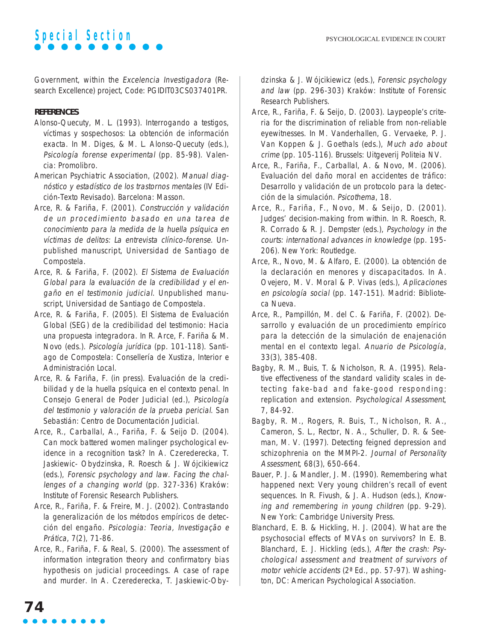

Government, within the Excelencia Investigadora (Research Excellence) project, Code: PGIDIT03CS037401PR.

#### **REFERENCES**

- Alonso-Quecuty, M. L. (1993). Interrogando a testigos, víctimas y sospechosos: La obtención de información exacta. In M. Diges, & M. L. Alonso-Quecuty (eds.), Psicología forense experimental (pp. 85-98). Valencia: Promolibro.
- American Psychiatric Association, (2002). Manual diagnóstico y estadístico de los trastornos mentales (IV Edición-Texto Revisado). Barcelona: Masson.
- Arce, R. & Fariña, F. (2001). Construcción y validación de un procedimiento basado en una tarea de conocimiento para la medida de la huella psíquica en víctimas de delitos: La entrevista clínico-forense. Unpublished manuscript, Universidad de Santiago de Compostela.
- Arce, R. & Fariña, F. (2002). El Sistema de Evaluación Global para la evaluación de la credibilidad y el engaño en el testimonio judicial. Unpublished manuscript, Universidad de Santiago de Compostela.
- Arce, R. & Fariña, F. (2005). El Sistema de Evaluación Global (SEG) de la credibilidad del testimonio: Hacia una propuesta integradora. In R. Arce, F. Fariña & M. Novo (eds.). Psicología jurídica (pp. 101-118). Santiago de Compostela: Consellería de Xustiza, Interior e Administración Local.
- Arce, R. & Fariña, F. (in press). Evaluación de la credibilidad y de la huella psíquica en el contexto penal. In Consejo General de Poder Judicial (ed.), Psicología del testimonio y valoración de la prueba pericial. San Sebastián: Centro de Documentación Judicial.
- Arce, R., Carballal, A., Fariña, F. & Seijo D. (2004). Can mock battered women malinger psychological evidence in a recognition task? In A. Czerederecka, T. Jaskiewic- Obydzinska, R. Roesch & J. Wójcikiewicz (eds.), Forensic psychology and law. Facing the challenges of a changing world (pp. 327-336) Kraków: Institute of Forensic Research Publishers.
- Arce, R., Fariña, F. & Freire, M. J. (2002). Contrastando la generalización de los métodos empíricos de detección del engaño. Psicologia: Teoria, Investigação e Prática, 7(2), 71-86.
- Arce, R., Fariña, F. & Real, S. (2000). The assessment of information integration theory and confirmatory bias hypothesis on judicial proceedings. A case of rape and murder. In A. Czerederecka, T. Jaskiewic-Oby-

dzinska & J. Wójcikiewicz (eds.), Forensic psychology and law (pp. 296-303) Kraków: Institute of Forensic Research Publishers.

- Arce, R., Fariña, F. & Seijo, D. (2003). Laypeople's criteria for the discrimination of reliable from non-reliable eyewitnesses. In M. Vanderhallen, G. Vervaeke, P. J. Van Koppen & J. Goethals (eds.), Much ado about crime (pp. 105-116). Brussels: Uitgeverij Politeia NV.
- Arce, R., Fariña, F., Carballal, A. & Novo, M. (2006). Evaluación del daño moral en accidentes de tráfico: Desarrollo y validación de un protocolo para la detección de la simulación. Psicothema, 18.
- Arce, R., Fariña, F., Novo, M. & Seijo, D. (2001). Judges' decision-making from within. In R. Roesch, R. R. Corrado & R. J. Dempster (eds.), Psychology in the courts: international advances in knowledge (pp. 195- 206). New York: Routledge.
- Arce, R., Novo, M. & Alfaro, E. (2000). La obtención de la declaración en menores y discapacitados. In A. Ovejero, M. V. Moral & P. Vivas (eds.), Aplicaciones en psicología social (pp. 147-151). Madrid: Biblioteca Nueva.
- Arce, R., Pampillón, M. del C. & Fariña, F. (2002). Desarrollo y evaluación de un procedimiento empírico para la detección de la simulación de enajenación mental en el contexto legal. Anuario de Psicología, 33(3), 385-408.
- Bagby, R. M., Buis, T. & Nicholson, R. A. (1995). Relative effectiveness of the standard validity scales in detecting fake-bad and fake-good responding: replication and extension. Psychological Assessment, 7, 84-92.
- Bagby, R. M., Rogers, R. Buis, T., Nicholson, R. A., Cameron, S. L., Rector, N. A., Schuller, D. R. & Seeman, M. V. (1997). Detecting feigned depression and schizophrenia on the MMPI-2. Journal of Personality Assessment, 68(3), 650-664.
- Bauer, P. J. & Mandler, J. M. (1990). Remembering what happened next: Very young children's recall of event sequences. In R. Fivush, & J. A. Hudson (eds.), Knowing and remembering in young children (pp. 9-29). New York: Cambridge University Press.
- Blanchard, E. B. & Hickling, H. J. (2004). What are the psychosocial effects of MVAs on survivors? In E. B. Blanchard, E. J. Hickling (eds.), After the crash: Psychological assessment and treatment of survivors of motor vehicle accidents (2ª Ed., pp. 57-97). Washington, DC: American Psychological Association.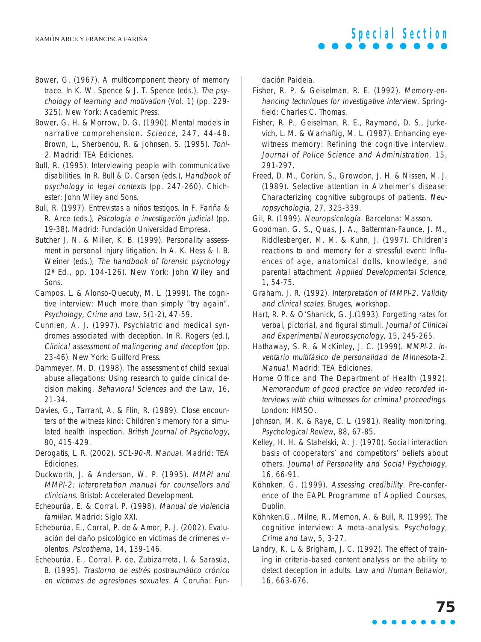- Bower, G. (1967). A multicomponent theory of memory trace. In K. W. Spence & J. T. Spence (eds.), The psychology of learning and motivation (Vol. 1) (pp. 229- 325). New York: Academic Press.
- Bower, G. H. & Morrow, D. G. (1990). Mental models in narrative comprehension. Science, 247, 44-48. Brown, L., Sherbenou, R. & Johnsen, S. (1995). Toni-2. Madrid: TEA Ediciones.
- Bull, R. (1995). Interviewing people with communicative disabilities. In R. Bull & D. Carson (eds.), Handbook of psychology in legal contexts (pp. 247-260). Chichester: John Wiley and Sons.
- Bull, R. (1997). Entrevistas a niños testigos. In F. Fariña & R. Arce (eds.), Psicología e investigación judicial (pp. 19-38). Madrid: Fundación Universidad Empresa.
- Butcher J. N. & Miller, K. B. (1999). Personality assessment in personal injury litigation. In A. K. Hess & I. B. Weiner (eds.), The handbook of forensic psychology (2ª Ed., pp. 104-126). New York: John Wiley and Sons.
- Campos, L. & Alonso-Quecuty, M. L. (1999). The cognitive interview: Much more than simply "try again". Psychology, Crime and Law, 5(1-2), 47-59.
- Cunnien, A. J. (1997). Psychiatric and medical syndromes associated with deception. In R. Rogers (ed.), Clinical assessment of malingering and deception (pp. 23-46). New York: Guilford Press.
- Dammeyer, M. D. (1998). The assessment of child sexual abuse allegations: Using research to guide clinical decision making. Behavioral Sciences and the Law, 16, 21-34.
- Davies, G., Tarrant, A. & Flin, R. (1989). Close encounters of the witness kind: Children's memory for a simulated health inspection. British Journal of Psychology, 80, 415-429.
- Derogatis, L. R. (2002). SCL-90-R. Manual. Madrid: TEA Ediciones.
- Duckworth, J. & Anderson, W. P. (1995). MMPI and MMPI-2: Interpretation manual for counsellors and clinicians. Bristol: Accelerated Development.
- Echeburúa, E. & Corral, P. (1998). Manual de violencia familiar. Madrid: Siglo XXI.
- Echeburúa, E., Corral, P. de & Amor, P. J. (2002). Evaluación del daño psicológico en víctimas de crímenes violentos. Psicothema, 14, 139-146.
- Echeburúa, E., Corral, P. de, Zubizarreta, I. & Sarasúa, B. (1995). Trastorno de estrés postraumático crónico en víctimas de agresiones sexuales. A Coruña: Fun-

dación Paideia.

- Fisher, R. P. & Geiselman, R. E. (1992). Memory-enhancing techniques for investigative interview. Springfield: Charles C. Thomas.
- Fisher, R. P., Geiselman, R. E., Raymond, D. S., Jurkevich, L. M. & Warhaftig, M. L. (1987). Enhancing eyewitness memory: Refining the cognitive interview. Journal of Police Science and Administration, 15, 291-297.
- Freed, D. M., Corkin, S., Growdon, J. H. & Nissen, M. J. (1989). Selective attention in Alzheimer's disease: Characterizing cognitive subgroups of patients. Neuropsychologia, 27, 325-339.

Gil, R. (1999). Neuropsicología. Barcelona: Masson.

- Goodman, G. S., Quas, J. A., Batterman-Faunce, J. M., Riddlesberger, M. M. & Kuhn, J. (1997). Children's reactions to and memory for a stressful event: Influences of age, anatomical dolls, knowledge, and parental attachment. Applied Developmental Science, 1, 54-75.
- Graham, J. R. (1992). Interpretation of MMPI-2. Validity and clinical scales. Bruges, workshop.
- Hart, R. P. & O'Shanick, G. J.(1993). Forgetting rates for verbal, pictorial, and figural stimuli. Journal of Clinical and Experimental Neuropsychology, 15, 245-265.
- Hathaway, S. R. & McKinley, J. C. (1999). MMPI-2. Inventario multifásico de personalidad de Minnesota-2. Manual. Madrid: TEA Ediciones.
- Home Office and The Department of Health (1992). Memorandum of good practice on video recorded interviews with child witnesses for criminal proceedings. London: HMSO.
- Johnson, M. K. & Raye, C. L. (1981). Reality monitoring. Psychological Review, 88, 67-85.
- Kelley, H. H. & Stahelski, A. J. (1970). Social interaction basis of cooperators' and competitors' beliefs about others. Journal of Personality and Social Psychology, 16, 66-91.
- Köhnken, G. (1999). Assessing credibility. Pre-conference of the EAPL Programme of Applied Courses, Dublin.
- Köhnken,G., Milne, R., Memon, A. & Bull, R. (1999). The cognitive interview: A meta-analysis. Psychology, Crime and Law, 5, 3-27.
- Landry, K. L. & Brigham, J. C. (1992). The effect of training in criteria-based content analysis on the ability to detect deception in adults. Law and Human Behavior, 16, 663-676.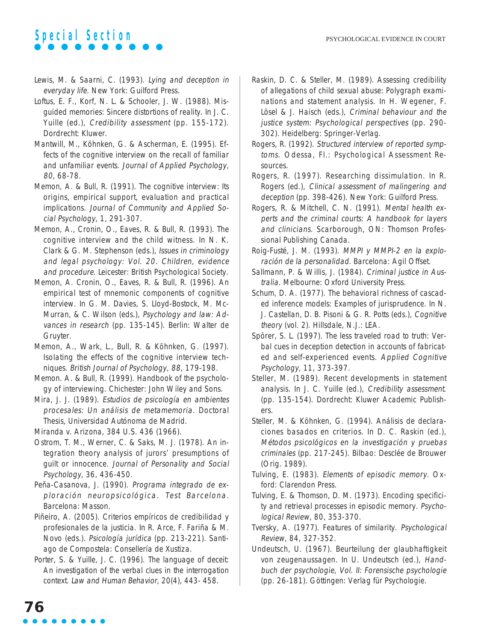- Lewis, M. & Saarni, C. (1993). Lying and deception in everyday life. New York: Guilford Press.
- Loftus, E. F., Korf, N. L. & Schooler, J. W. (1988). Misguided memories: Sincere distortions of reality. In J. C. Yuille (ed.), Credibility assessment (pp. 155-172). Dordrecht: Kluwer.
- Mantwill, M., Köhnken, G. & Ascherman, E. (1995). Effects of the cognitive interview on the recall of familiar and unfamiliar events. Journal of Applied Psychology, 80, 68-78.
- Memon, A. & Bull, R. (1991). The cognitive interview: Its origins, empirical support, evaluation and practical implications. Journal of Community and Applied Social Psychology, 1, 291-307.
- Memon, A., Cronin, O., Eaves, R. & Bull, R. (1993). The cognitive interview and the child witness. In N. K. Clark & G. M. Stephenson (eds.), Issues in criminology and legal psychology: Vol. 20. Children, evidence and procedure. Leicester: British Psychological Society.
- Memon, A. Cronin, O., Eaves, R. & Bull, R. (1996). An empirical test of mnemonic components of cognitive interview. In G. M. Davies, S. Lloyd-Bostock, M. Mc-Murran, & C. Wilson (eds.), Psychology and law: Advances in research (pp. 135-145). Berlin: Walter de Gruyter.
- Memon, A., Wark, L., Bull, R. & Köhnken, G. (1997). Isolating the effects of the cognitive interview techniques. British Journal of Psychology, 88, 179-198.
- Memon. A. & Bull, R. (1999). Handbook of the psychology of interviewing. Chichester: John Wiley and Sons.
- Mira, J. J. (1989). Estudios de psicología en ambientes procesales: Un análisis de metamemoria. Doctoral Thesis, Universidad Autónoma de Madrid.
- Miranda v. Arizona, 384 U.S. 436 (1966).
- Ostrom, T. M., Werner, C. & Saks, M. J. (1978). An integration theory analysis of jurors' presumptions of guilt or innocence. Journal of Personality and Social Psychology, 36, 436-450.
- Peña-Casanova, J. (1990). Programa integrado de exploración neuropsicológica. Test Barcelona. Barcelona: Masson.
- Piñeiro, A. (2005). Criterios empíricos de credibilidad y profesionales de la justicia. In R. Arce, F. Fariña & M. Novo (eds.). Psicología jurídica (pp. 213-221). Santiago de Compostela: Consellería de Xustiza.
- Porter, S. & Yuille, J. C. (1996). The language of deceit: An investigation of the verbal clues in the interrogation context. Law and Human Behavior, 20(4), 443- 458.
- Raskin, D. C. & Steller, M. (1989). Assessing credibility of allegations of child sexual abuse: Polygraph examinations and statement analysis. In H. Wegener, F. Lösel & J. Haisch (eds.), Criminal behaviour and the justice system: Psychological perspectives (pp. 290- 302). Heidelberg: Springer-Verlag.
- Rogers, R. (1992). Structured interview of reported symptoms. Odessa, Fl.: Psychological Assessment Resources.
- Rogers, R. (1997). Researching dissimulation. In R. Rogers (ed.), Clinical assessment of malingering and deception (pp. 398-426). New York: Guilford Press.
- Rogers, R. & Mitchell, C. N. (1991). Mental health experts and the criminal courts: A handbook for layers and clinicians. Scarborough, ON: Thomson Professional Publishing Canada.
- Roig-Fusté, J. M. (1993). MMPI y MMPI-2 en la exploración de la personalidad. Barcelona: Agil Offset.
- Sallmann, P. & Willis, J. (1984). Criminal justice in Australia. Melbourne: Oxford University Press.
- Schum, D. A. (1977). The behavioral richness of cascaded inference models: Examples of jurisprudence. In N. J. Castellan, D. B. Pisoni & G. R. Potts (eds.), Cognitive theory (vol. 2). Hillsdale, N.J.: LEA.
- Spörer, S. L. (1997). The less traveled road to truth: Verbal cues in deception detection in accounts of fabricated and self-experienced events. Applied Cognitive Psychology, 11, 373-397.
- Steller, M. (1989). Recent developments in statement analysis. In J. C. Yuille (ed.), Credibility assessment. (pp. 135-154). Dordrecht: Kluwer Academic Publishers.
- Steller, M. & Köhnken, G. (1994). Análisis de declaraciones basados en criterios. In D. C. Raskin (ed.), Métodos psicológicos en la investigación y pruebas criminales (pp. 217-245). Bilbao: Desclée de Brouwer (Orig. 1989).
- Tulving, E. (1983). Elements of episodic memory. Oxford: Clarendon Press.
- Tulving, E. & Thomson, D. M. (1973). Encoding specificity and retrieval processes in episodic memory. Psychological Review, 80, 353-370.
- Tversky, A. (1977). Features of similarity. Psychological Review, 84, 327-352.
- Undeutsch, U. (1967). Beurteilung der glaubhaftigkeit von zeugenaussagen. In U. Undeutsch (ed.), Handbuch der psychologie, Vol. II: Forensische psychologie (pp. 26-181). Göttingen: Verlag für Psychologie.